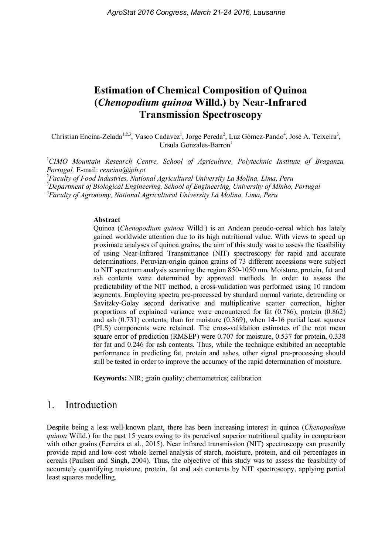# Estimation of Chemical Composition of Quinoa (Chenopodium quinoa Willd.) by Near-Infrared Transmission Spectroscopy

Christian Encina-Zelada<sup>1,2,3</sup>, Vasco Cadavez<sup>1</sup>, Jorge Pereda<sup>2</sup>, Luz Gómez-Pando<sup>4</sup>, José A. Teixeira<sup>3</sup>, Ursula Gonzales-Barron<sup>1</sup>

<sup>1</sup>CIMO Mountain Research Centre, School of Agriculture, Polytechnic Institute of Braganza, Portugal. E-mail: cencina@ipb.pt

 $^{2}$ Faculty of Food Industries, National Agricultural University La Molina, Lima, Peru <sup>3</sup>Department of Biological Engineering, School of Engineering, University of Minho, Portugal 4 Faculty of Agronomy, National Agricultural University La Molina, Lima, Peru

#### Abstract

Quinoa (Chenopodium quinoa Willd.) is an Andean pseudo-cereal which has lately gained worldwide attention due to its high nutritional value. With views to speed up proximate analyses of quinoa grains, the aim of this study was to assess the feasibility of using Near-Infrared Transmittance (NIT) spectroscopy for rapid and accurate determinations. Peruvian-origin quinoa grains of 73 different accessions were subject to NIT spectrum analysis scanning the region 850-1050 nm. Moisture, protein, fat and ash contents were determined by approved methods. In order to assess the predictability of the NIT method, a cross-validation was performed using 10 random segments. Employing spectra pre-processed by standard normal variate, detrending or Savitzky-Golay second derivative and multiplicative scatter correction, higher proportions of explained variance were encountered for fat (0.786), protein (0.862) and ash (0.731) contents, than for moisture (0.369), when 14-16 partial least squares (PLS) components were retained. The cross-validation estimates of the root mean square error of prediction (RMSEP) were 0.707 for moisture, 0.537 for protein, 0.338 for fat and 0.246 for ash contents. Thus, while the technique exhibited an acceptable performance in predicting fat, protein and ashes, other signal pre-processing should still be tested in order to improve the accuracy of the rapid determination of moisture.

Keywords: NIR; grain quality; chemometrics; calibration

#### 1. Introduction

Despite being a less well-known plant, there has been increasing interest in quinoa (Chenopodium quinoa Willd.) for the past 15 years owing to its perceived superior nutritional quality in comparison with other grains (Ferreira et al., 2015). Near infrared transmission (NIT) spectroscopy can presently provide rapid and low-cost whole kernel analysis of starch, moisture, protein, and oil percentages in cereals (Paulsen and Singh, 2004). Thus, the objective of this study was to assess the feasibility of accurately quantifying moisture, protein, fat and ash contents by NIT spectroscopy, applying partial least squares modelling.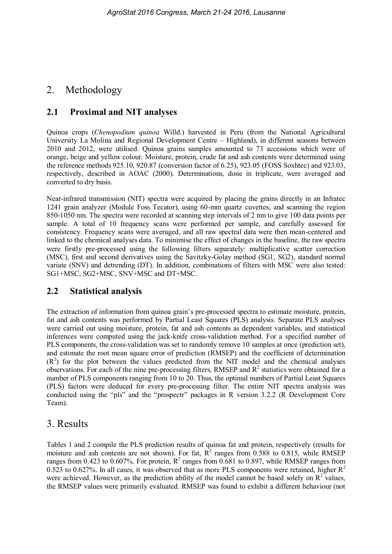# 2. Methodology

### 2.1 Proximal and NIT analyses

Quinoa crops (Chenopodium quinoa Willd.) harvested in Peru (from the National Agricultural University La Molina and Regional Development Centre – Highland), in different seasons between 2010 and 2012, were utilised. Quinoa grains samples amounted to 73 accessions which were of orange, beige and yellow colour. Moisture, protein, crude fat and ash contents were determined using the reference methods 925.10, 920.87 (conversion factor of 6.25), 923.05 (FOSS Soxhtec) and 923.03, respectively, described in AOAC (2000). Determinations, done in triplicate, were averaged and converted to dry basis.

Near-infrared transmission (NIT) spectra were acquired by placing the grains directly in an Infratec 1241 grain analyzer (Module Foss Tecator), using 60-mm quartz cuvettes, and scanning the region 850-1050 nm. The spectra were recorded at scanning step intervals of 2 nm to give 100 data points per sample. A total of 10 frequency scans were performed per sample, and carefully assessed for consistency. Frequency scans were averaged, and all raw spectral data were then mean-centered and linked to the chemical analyses data. To minimise the effect of changes in the baseline, the raw spectra were firstly pre-processed using the following filters separately: multiplicative scatter correction (MSC), first and second derivatives using the Savitzky-Golay method (SG1, SG2), standard normal variate (SNV) and detrending (DT). In addition, combinations of filters with MSC were also tested: SG1+MSC, SG2+MSC, SNV+MSC and DT+MSC.

#### 2.2 Statistical analysis

The extraction of information from quinoa grain's pre-processed spectra to estimate moisture, protein, fat and ash contents was performed by Partial Least Squares (PLS) analysis. Separate PLS analyses were carried out using moisture, protein, fat and ash contents as dependent variables, and statistical inferences were computed using the jack-knife cross-validation method. For a specified number of PLS components, the cross-validation was set to randomly remove 10 samples at once (prediction set), and estimate the root mean square error of prediction (RMSEP) and the coefficient of determination  $(R<sup>2</sup>)$  for the plot between the values predicted from the NIT model and the chemical analyses observations. For each of the nine pre-processing filters, RMSEP and  $R<sup>2</sup>$  statistics were obtained for a number of PLS components ranging from 10 to 20. Thus, the optimal numbers of Partial Least Squares (PLS) factors were deduced for every pre-processing filter. The entire NIT spectra analysis was conducted using the "pls" and the "prospectr" packages in R version 3.2.2 (R Development Core Team).

## 3. Results

Tables 1 and 2 compile the PLS prediction results of quinoa fat and protein, respectively (results for moisture and ash contents are not shown). For fat,  $R^2$  ranges from 0.588 to 0.815, while RMSEP ranges from 0.423 to 0.607%. For protein,  $R^2$  ranges from 0.681 to 0.897, while RMSEP ranges from 0.523 to 0.627%. In all cases, it was observed that as more PLS components were retained, higher  $R^2$ were achieved. However, as the prediction ability of the model cannot be based solely on  $\mathbb{R}^2$  values, the RMSEP values were primarily evaluated. RMSEP was found to exhibit a different behaviour (not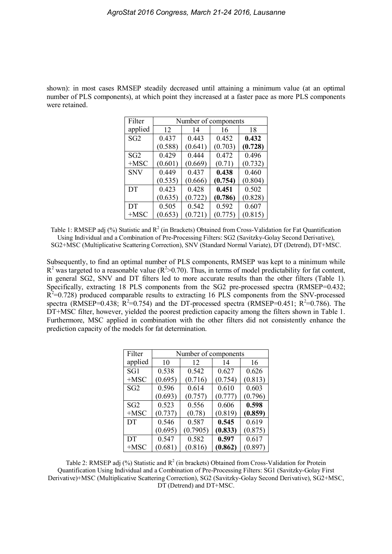shown): in most cases RMSEP steadily decreased until attaining a minimum value (at an optimal number of PLS components), at which point they increased at a faster pace as more PLS components were retained.

| Filter          | Number of components |         |         |         |  |
|-----------------|----------------------|---------|---------|---------|--|
| applied         | 12                   | 14      | 16      | 18      |  |
| SG <sub>2</sub> | 0.437                | 0.443   | 0.452   | 0.432   |  |
|                 | (0.588)              | (0.641) | (0.703) | (0.728) |  |
| SG <sub>2</sub> | 0.429                | 0.444   | 0.472   | 0.496   |  |
| $+MSC$          | (0.601)              | (0.669) | (0.71)  | (0.732) |  |
| <b>SNV</b>      | 0.449                | 0.437   | 0.438   | 0.460   |  |
|                 | (0.535)              | (0.666) | (0.754) | (0.804) |  |
| DT              | 0.423                | 0.428   | 0.451   | 0.502   |  |
|                 | (0.635)              | (0.722) | (0.786) | (0.828) |  |
| DT              | 0.505                | 0.542   | 0.592   | 0.607   |  |
| $+MSC$          | (0.653)              | (0.721) | (0.775) | (0.815) |  |

Table 1: RMSEP adj (%) Statistic and  $R^2$  (in Brackets) Obtained from Cross-Validation for Fat Quantification Using Individual and a Combination of Pre-Processing Filters: SG2 (Savitzky-Golay Second Derivative), SG2+MSC (Multiplicative Scattering Correction), SNV (Standard Normal Variate), DT (Detrend), DT+MSC.

Subsequently, to find an optimal number of PLS components, RMSEP was kept to a minimum while  $R^2$  was targeted to a reasonable value ( $R^2$ >0.70). Thus, in terms of model predictability for fat content, in general SG2, SNV and DT filters led to more accurate results than the other filters (Table 1). Specifically, extracting 18 PLS components from the SG2 pre-processed spectra (RMSEP=0.432;  $R<sup>2</sup>=0.728$ ) produced comparable results to extracting 16 PLS components from the SNV-processed spectra (RMSEP=0.438;  $R^2=0.754$ ) and the DT-processed spectra (RMSEP=0.451;  $R^2=0.786$ ). The DT+MSC filter, however, yielded the poorest prediction capacity among the filters shown in Table 1. Furthermore, MSC applied in combination with the other filters did not consistently enhance the prediction capacity of the models for fat determination.

| Filter          | Number of components |          |         |         |  |
|-----------------|----------------------|----------|---------|---------|--|
| applied         | 10                   | 12       | 14      | 16      |  |
| SG1             | 0.538                | 0.542    | 0.627   | 0.626   |  |
| $+MSC$          | (0.695)              | (0.716)  | (0.754) | (0.813) |  |
| SG2             | 0.596                | 0.614    | 0.610   | 0.603   |  |
|                 | (0.693)              | (0.757)  | (0.777) | (0.796) |  |
| SG <sub>2</sub> | 0.523                | 0.556    | 0.606   | 0.598   |  |
| $+MSC$          | (0.737)              | (0.78)   | (0.819) | (0.859) |  |
| DT              | 0.546                | 0.587    | 0.545   | 0.619   |  |
|                 | (0.695)              | (0.7905) | (0.833) | (0.875) |  |
| DT              | 0.547                | 0.582    | 0.597   | 0.617   |  |
| $+MSC$          | (0.681)              | (0.816)  | (0.862) | (0.897) |  |

Table 2: RMSEP adj  $(\%)$  Statistic and  $R^2$  (in brackets) Obtained from Cross-Validation for Protein Quantification Using Individual and a Combination of Pre-Processing Filters: SG1 (Savitzky-Golay First Derivative)+MSC (Multiplicative Scattering Correction), SG2 (Savitzky-Golay Second Derivative), SG2+MSC, DT (Detrend) and DT+MSC.